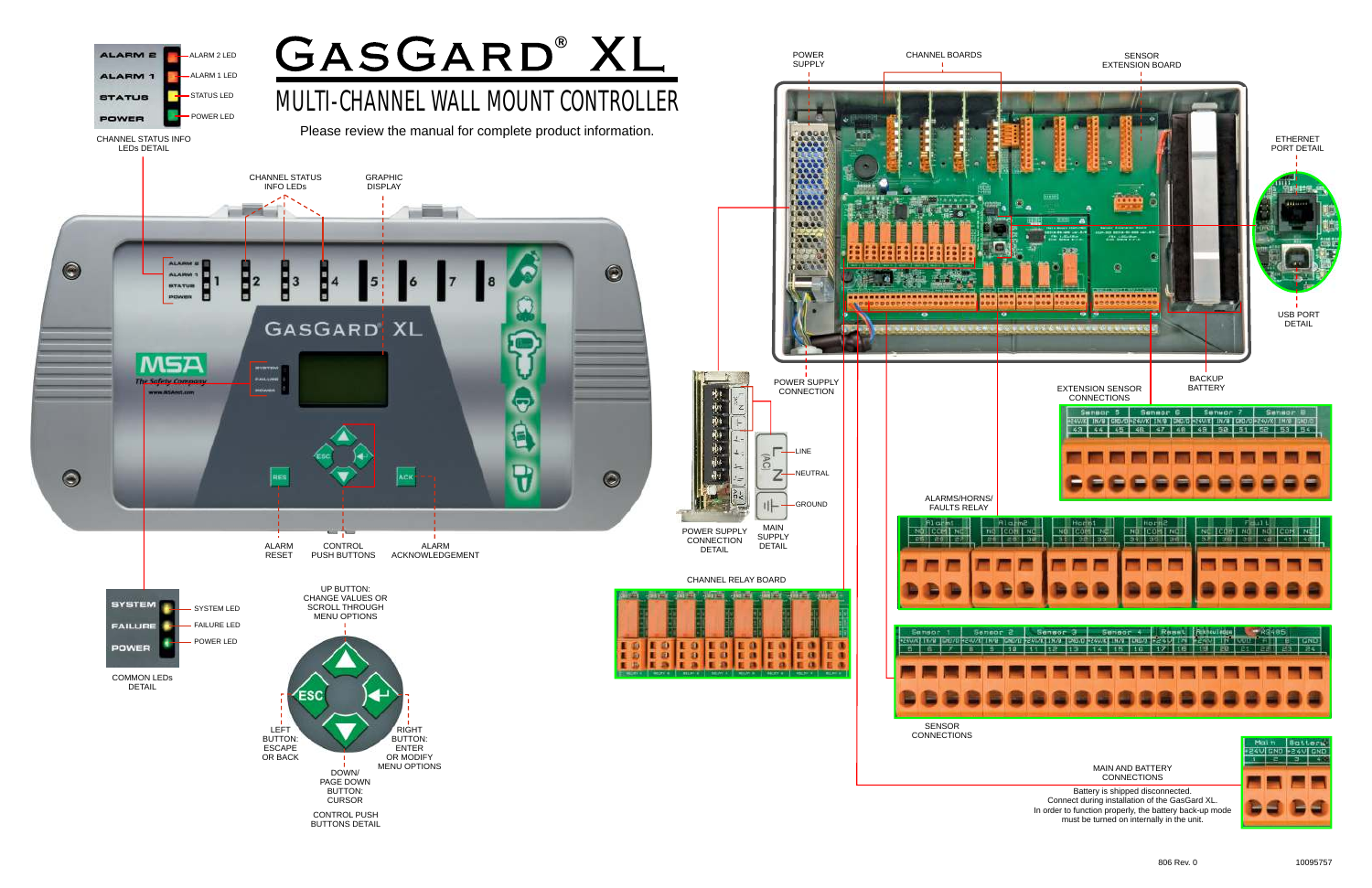